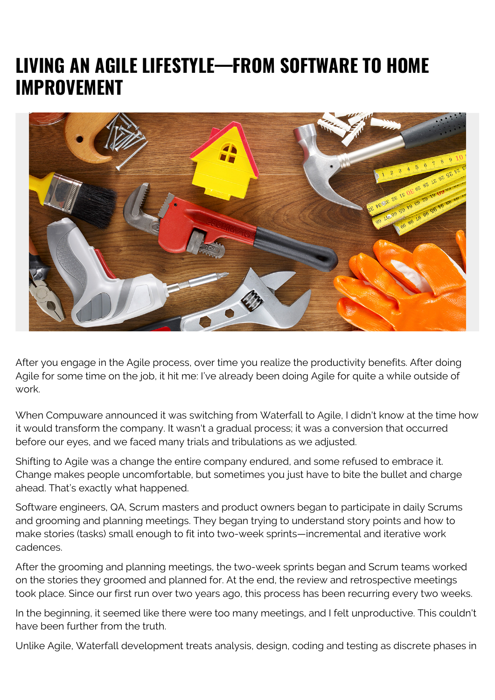## **LIVING AN AGILE LIFESTYLE—FROM SOFTWARE TO HOME IMPROVEMENT**



After you engage in the Agile process, over time you realize the productivity benefits. After doing Agile for some time on the job, it hit me: I've already been doing Agile for quite a while outside of work.

When Compuware announced it was switching from Waterfall to Agile, I didn't know at the time how it would transform the company. It wasn't a gradual process; it was a conversion that occurred before our eyes, and we faced many trials and tribulations as we adjusted.

Shifting to Agile was a change the entire company endured, and some refused to embrace it. Change makes people uncomfortable, but sometimes you just have to bite the bullet and charge ahead. That's exactly what happened.

Software engineers, QA, Scrum masters and product owners began to participate in daily Scrums and grooming and planning meetings. They began trying to understand story points and how to make stories (tasks) small enough to fit into two-week sprints—incremental and iterative work cadences.

After the grooming and planning meetings, the two-week sprints began and Scrum teams worked on the stories they groomed and planned for. At the end, the review and retrospective meetings took place. Since our first run over two years ago, this process has been recurring every two weeks.

In the beginning, it seemed like there were too many meetings, and I felt unproductive. This couldn't have been further from the truth.

Unlike Agile, Waterfall development treats analysis, design, coding and testing as discrete phases in